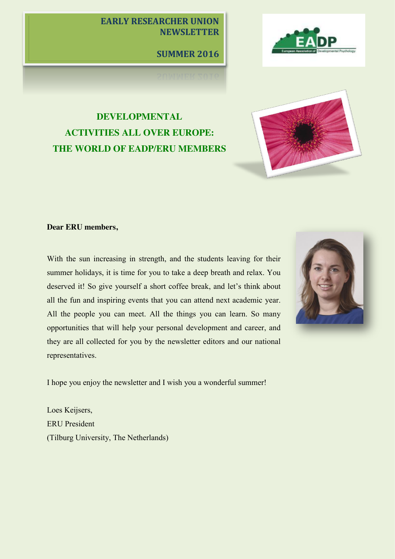# **EARLY RESEARCHER UNION NEWSLETTER**

**SUMMER 2016**



# **DEVELOPMENTAL ACTIVITIES ALL OVER EUROPE: THE WORLD OF EADP/ERU MEMBERS**



## **Dear ERU members,**

With the sun increasing in strength, and the students leaving for their summer holidays, it is time for you to take a deep breath and relax. You deserved it! So give yourself a short coffee break, and let's think about all the fun and inspiring events that you can attend next academic year. All the people you can meet. All the things you can learn. So many opportunities that will help your personal development and career, and they are all collected for you by the newsletter editors and our national representatives.



I hope you enjoy the newsletter and I wish you a wonderful summer!

Loes Keijsers, ERU President (Tilburg University, The Netherlands)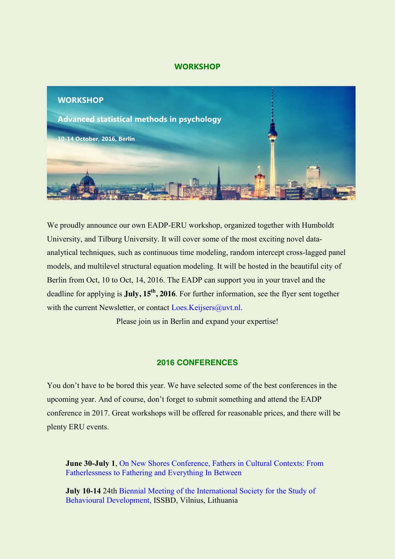## **WORKSHOP**



We proudly announce our own EADP-ERU workshop, organized together with Humboldt University, and Tilburg University. It will cover some of the most exciting novel dataanalytical techniques, such as continuous time modeling, random intercept cross-lagged panel models, and multilevel structural equation modeling. It will be hosted in the beautiful city of Berlin from Oct, 10 to Oct, 14, 2016. The EADP can support you in your travel and the deadline for applying is **July, 15th, 2016**. For further information, see the flyer sent together with the current Newsletter, or contact [Loes.Keijsers@uvt.nl.](mailto:Loes.Keijsers@uvt.nl)

Please join us in Berlin and expand your expertise!

## **2016 CONFERENCES**

You don't have to be bored this year. We have selected some of the best conferences in the upcoming year. And of course, don't forget to submit something and attend the EADP conference in 2017. Great workshops will be offered for reasonable prices, and there will be plenty ERU events.

**June 30-July 1**, [On New Shores Conference, Fathers in Cultural Contexts: From](http://www.uoguelph.ca/family/sites/default/files/Chuang%20-%20Jamaica%20Conference.pdf)  [Fatherlessness to Fathering and Everything In Between](http://www.uoguelph.ca/family/sites/default/files/Chuang%20-%20Jamaica%20Conference.pdf)

**July 10-14** 24th Biennial Meeting of the International Society for the Study of [Behavioural Development,](http://www.issbd2016.com/en/) ISSBD, Vilnius, Lithuania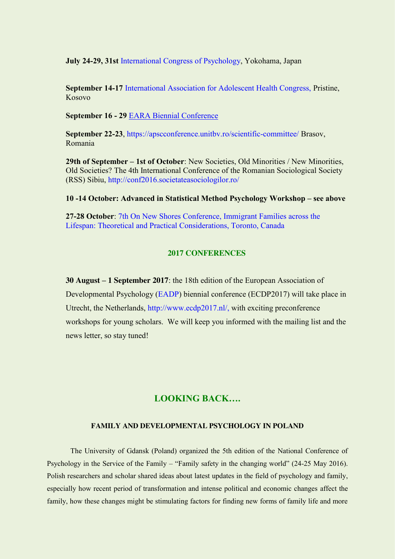**July 24-29, 31st** [International Congress of Psychology,](http://www.icp2016.jp/) Yokohama, Japan

**September 14-17** [International Association for Adolescent Health Congress,](http://www.iaah.org/index.php/conferences) Pristine, Kosovo

**September 16 - 29** [EARA Biennial Conference](http://www.eara2016.com/)

**September 22-23**,<https://apscconference.unitbv.ro/scientific-committee/> Brasov, Romania

**29th of September – 1st of October**: New Societies, Old Minorities / New Minorities, Old Societies? The 4th International Conference of the Romanian Sociological Society (RSS) Sibiu, <http://conf2016.societateasociologilor.ro/>

#### **10 -14 October: Advanced in Statistical Method Psychology Workshop – see above**

**27-28 October**: [7th On New Shores Conference, Immigrant Families across the](http://www.uoguelph.ca/family/sites/default/files/Chuang%20%20ONS%20Conference%202015%20call.pdf)  [Lifespan: Theoretical and Practical Considerations, Toronto, Canada](http://www.uoguelph.ca/family/sites/default/files/Chuang%20%20ONS%20Conference%202015%20call.pdf)

## **2017 CONFERENCES**

**30 August – 1 September 2017**: the 18th edition of the European Association of Developmental Psychology [\(EADP\)](http://www.eadp.info/) biennial conference (ECDP2017) will take place in Utrecht, the Netherlands, [http://www.ecdp2017.nl/,](http://www.ecdp2017.nl/) with exciting preconference workshops for young scholars. We will keep you informed with the mailing list and the news letter, so stay tuned!

## **LOOKING BACK….**

## **FAMILY AND DEVELOPMENTAL PSYCHOLOGY IN POLAND**

The University of Gdansk (Poland) organized the 5th edition of the National Conference of Psychology in the Service of the Family – "Family safety in the changing world" (24-25 May 2016). Polish researchers and scholar shared ideas about latest updates in the field of psychology and family, especially how recent period of transformation and intense political and economic changes affect the family, how these changes might be stimulating factors for finding new forms of family life and more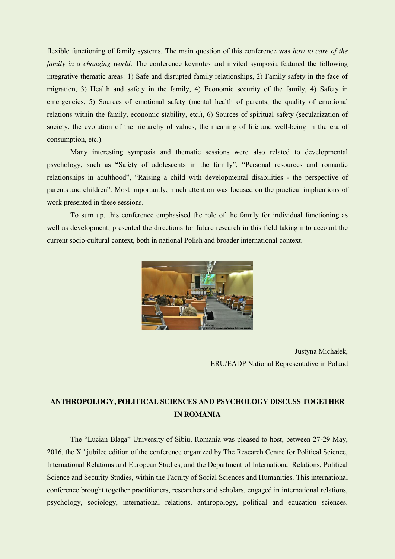flexible functioning of family systems. The main question of this conference was *how to care of the family in a changing world*. The conference keynotes and invited symposia featured the following integrative thematic areas: 1) Safe and disrupted family relationships, 2) Family safety in the face of migration, 3) Health and safety in the family, 4) Economic security of the family, 4) Safety in emergencies, 5) Sources of emotional safety (mental health of parents, the quality of emotional relations within the family, economic stability, etc.), 6) Sources of spiritual safety (secularization of society, the evolution of the hierarchy of values, the meaning of life and well-being in the era of consumption, etc.).

Many interesting symposia and thematic sessions were also related to developmental psychology, such as "Safety of adolescents in the family", "Personal resources and romantic relationships in adulthood", "Raising a child with developmental disabilities - the perspective of parents and children". Most importantly, much attention was focused on the practical implications of work presented in these sessions.

To sum up, this conference emphasised the role of the family for individual functioning as well as development, presented the directions for future research in this field taking into account the current socio-cultural context, both in national Polish and broader international context.



Justyna Michałek, ERU/EADP National Representative in Poland

# **ANTHROPOLOGY, POLITICAL SCIENCES AND PSYCHOLOGY DISCUSS TOGETHER IN ROMANIA**

The "Lucian Blaga" University of Sibiu, Romania was pleased to host, between 27-29 May, 2016, the X<sup>th</sup> jubilee edition of the conference organized by The Research Centre for Political Science, International Relations and European Studies, and the Department of International Relations, Political Science and Security Studies, within the Faculty of Social Sciences and Humanities. This international conference brought together practitioners, researchers and scholars, engaged in international relations, psychology, sociology, international relations, anthropology, political and education sciences.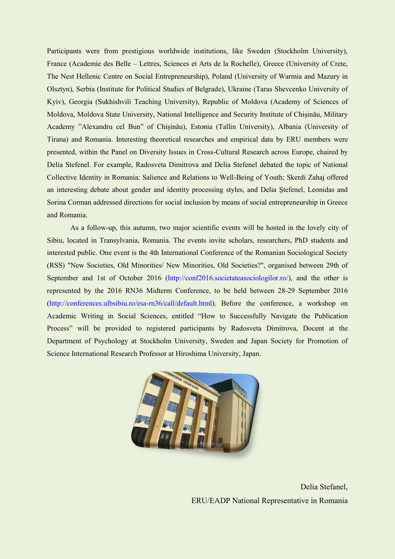Participants were from prestigious worldwide institutions, like Sweden (Stockholm University), France (Academie des Belle – Lettres, Sciences et Arts de la Rochelle), Greece (University of Crete, The Nest Hellenic Centre on Social Entrepreneurship), Poland (University of Warmia and Mazury in Olsztyn), Serbia (Institute for Political Studies of Belgrade), Ukraine (Taras Shevcenko University of Kyiv), Georgia (Sukhishvili Teaching University), Republic of Moldova (Academy of Sciences of Moldova, Moldova State University, National Intelligence and Security Institute of Chișinău, Military Academy "Alexandru cel Bun" of Chișinău), Estonia (Tallin University), Albania (University of Tirana) and Romania. Interesting theoretical researches and empirical data by ERU members were presented, within the Panel on Diversity Issues in Cross-Cultural Research across Europe, chaired by Delia Stefenel. For example, Radosveta Dimitrova and Delia Stefenel debated the topic of National Collective Identity in Romania: Salience and Relations to Well-Being of Youth; Skerdi Zahaj offered an interesting debate about gender and identity processing styles, and Delia Ştefenel, Leonidas and Sorina Corman addressed directions for social inclusion by means of social entrepreneurship in Greece and Romania.

As a follow-up, this autumn, two major scientific events will be hosted in the lovely city of Sibiu, located in Transylvania, Romania. The events invite scholars, researchers, PhD students and interested public. One event is the 4th International Conference of the Romanian Sociological Society (RSS) "New Societies, Old Minorities/ New Minorities, Old Societies?", organised between 29th of September and 1st of October 2016 [\(http://conf2016.societateasociologilor.ro/\)](http://conf2016.societateasociologilor.ro/), and the other is represented by the 2016 RN36 Midterm Conference, to be held between 28-29 September 2016 [\(http://conferences.ulbsibiu.ro/esa-rn36/call/default.html\)](http://conferences.ulbsibiu.ro/esa-rn36/call/default.html). Before the conference, a workshop on Academic Writing in Social Sciences, entitled "How to Successfully Navigate the Publication Process" will be provided to registered participants by Radosveta Dimitrova, Docent at the Department of Psychology at Stockholm University, Sweden and Japan Society for Promotion of Science International Research Professor at Hiroshima University, Japan.



 Delia Stefanel, ERU/EADP National Representative in Romania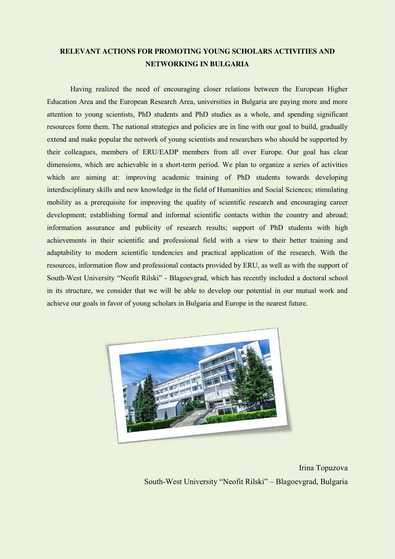# **RELEVANT ACTIONS FOR PROMOTING YOUNG SCHOLARS ACTIVITIES AND NETWORKING IN BULGARIA**

Having realized the need of encouraging closer relations between the European Higher Education Area and the European Research Area, universities in Bulgaria are paying more and more attention to young scientists, PhD students and PhD studies as a whole, and spending significant resources form them. The national strategies and policies are in line with our goal to build, gradually extend and make popular the network of young scientists and researchers who should be supported by their colleagues, members of ERU/EADP members from all over Europe. Our goal has clear dimensions, which are achievable in a short-term period. We plan to organize a series of activities which are aiming at: improving academic training of PhD students towards developing interdisciplinary skills and new knowledge in the field of Humanities and Social Sciences; stimulating mobility as a prerequisite for improving the quality of scientific research and encouraging career development; establishing formal and informal scientific contacts within the country and abroad; information assurance and publicity of research results; support of PhD students with high achievements in their scientific and professional field with a view to their better training and adaptability to modern scientific tendencies and practical application of the research. With the resources, information flow and professional contacts provided by ERU, as well as with the support of South-West University "Neofit Rilski" - Blagoevgrad, which has recently included a doctoral school in its structure, we consider that we will be able to develop our potential in our mutual work and achieve our goals in favor of young scholars in Bulgaria and Europe in the nearest future.



Irina Topuzova South-West University "Neofit Rilski" – Blagoevgrad, Bulgaria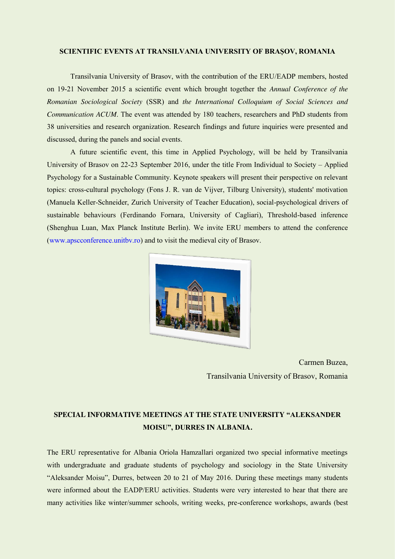#### **SCIENTIFIC EVENTS AT TRANSILVANIA UNIVERSITY OF BRAȘOV, ROMANIA**

Transilvania University of Brasov, with the contribution of the ERU/EADP members, hosted on 19-21 November 2015 a scientific event which brought together the *Annual Conference of the Romanian Sociological Society* (SSR) and *the International Colloquium of Social Sciences and Communication ACUM*. The event was attended by 180 teachers, researchers and PhD students from 38 universities and research organization. Research findings and future inquiries were presented and discussed, during the panels and social events.

A future scientific event, this time in Applied Psychology, will be held by Transilvania University of Brasov on 22-23 September 2016, under the title From Individual to Society – Applied Psychology for a Sustainable Community. Keynote speakers will present their perspective on relevant topics: cross-cultural psychology (Fons J. R. van de Vijver, Tilburg University), students' motivation (Manuela Keller-Schneider, Zurich University of Teacher Education), social-psychological drivers of sustainable behaviours (Ferdinando Fornara, University of Cagliari), Threshold-based inference (Shenghua Luan, Max Planck Institute Berlin). We invite ERU members to attend the conference [\(www.apscconference.unitbv.ro\)](http://www.apscconference.unitbv.ro/) and to visit the medieval city of Brasov.



Carmen Buzea, Transilvania University of Brasov, Romania

## **SPECIAL INFORMATIVE MEETINGS AT THE STATE UNIVERSITY "ALEKSANDER MOISU", DURRES IN ALBANIA.**

The ERU representative for Albania Oriola Hamzallari organized two special informative meetings with undergraduate and graduate students of psychology and sociology in the State University "Aleksander Moisu", Durres, between 20 to 21 of May 2016. During these meetings many students were informed about the EADP/ERU activities. Students were very interested to hear that there are many activities like winter/summer schools, writing weeks, pre-conference workshops, awards (best